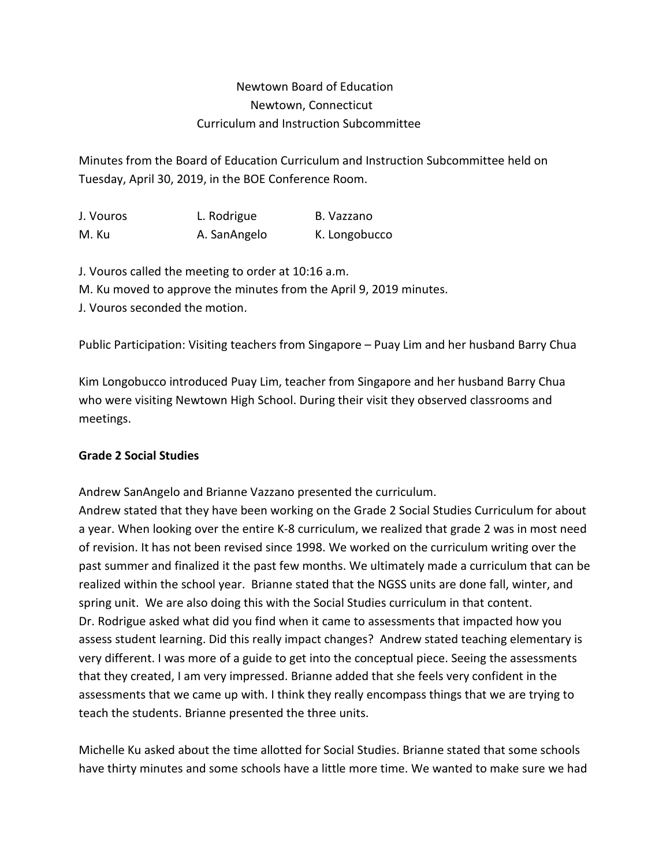## Newtown Board of Education Newtown, Connecticut Curriculum and Instruction Subcommittee

Minutes from the Board of Education Curriculum and Instruction Subcommittee held on Tuesday, April 30, 2019, in the BOE Conference Room.

| J. Vouros | L. Rodrigue  | B. Vazzano    |
|-----------|--------------|---------------|
| M. Ku     | A. SanAngelo | K. Longobucco |

J. Vouros called the meeting to order at 10:16 a.m. M. Ku moved to approve the minutes from the April 9, 2019 minutes. J. Vouros seconded the motion.

Public Participation: Visiting teachers from Singapore – Puay Lim and her husband Barry Chua

Kim Longobucco introduced Puay Lim, teacher from Singapore and her husband Barry Chua who were visiting Newtown High School. During their visit they observed classrooms and meetings.

## **Grade 2 Social Studies**

Andrew SanAngelo and Brianne Vazzano presented the curriculum.

Andrew stated that they have been working on the Grade 2 Social Studies Curriculum for about a year. When looking over the entire K-8 curriculum, we realized that grade 2 was in most need of revision. It has not been revised since 1998. We worked on the curriculum writing over the past summer and finalized it the past few months. We ultimately made a curriculum that can be realized within the school year. Brianne stated that the NGSS units are done fall, winter, and spring unit. We are also doing this with the Social Studies curriculum in that content. Dr. Rodrigue asked what did you find when it came to assessments that impacted how you assess student learning. Did this really impact changes? Andrew stated teaching elementary is very different. I was more of a guide to get into the conceptual piece. Seeing the assessments that they created, I am very impressed. Brianne added that she feels very confident in the assessments that we came up with. I think they really encompass things that we are trying to teach the students. Brianne presented the three units.

Michelle Ku asked about the time allotted for Social Studies. Brianne stated that some schools have thirty minutes and some schools have a little more time. We wanted to make sure we had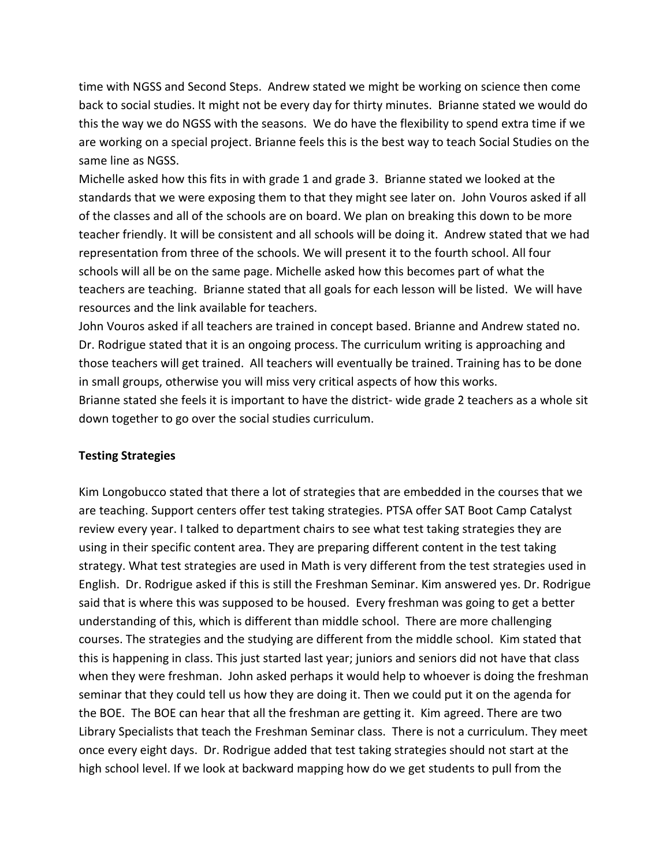time with NGSS and Second Steps. Andrew stated we might be working on science then come back to social studies. It might not be every day for thirty minutes. Brianne stated we would do this the way we do NGSS with the seasons. We do have the flexibility to spend extra time if we are working on a special project. Brianne feels this is the best way to teach Social Studies on the same line as NGSS.

Michelle asked how this fits in with grade 1 and grade 3. Brianne stated we looked at the standards that we were exposing them to that they might see later on. John Vouros asked if all of the classes and all of the schools are on board. We plan on breaking this down to be more teacher friendly. It will be consistent and all schools will be doing it. Andrew stated that we had representation from three of the schools. We will present it to the fourth school. All four schools will all be on the same page. Michelle asked how this becomes part of what the teachers are teaching. Brianne stated that all goals for each lesson will be listed. We will have resources and the link available for teachers.

John Vouros asked if all teachers are trained in concept based. Brianne and Andrew stated no. Dr. Rodrigue stated that it is an ongoing process. The curriculum writing is approaching and those teachers will get trained. All teachers will eventually be trained. Training has to be done in small groups, otherwise you will miss very critical aspects of how this works. Brianne stated she feels it is important to have the district- wide grade 2 teachers as a whole sit down together to go over the social studies curriculum.

## **Testing Strategies**

Kim Longobucco stated that there a lot of strategies that are embedded in the courses that we are teaching. Support centers offer test taking strategies. PTSA offer SAT Boot Camp Catalyst review every year. I talked to department chairs to see what test taking strategies they are using in their specific content area. They are preparing different content in the test taking strategy. What test strategies are used in Math is very different from the test strategies used in English. Dr. Rodrigue asked if this is still the Freshman Seminar. Kim answered yes. Dr. Rodrigue said that is where this was supposed to be housed. Every freshman was going to get a better understanding of this, which is different than middle school. There are more challenging courses. The strategies and the studying are different from the middle school. Kim stated that this is happening in class. This just started last year; juniors and seniors did not have that class when they were freshman. John asked perhaps it would help to whoever is doing the freshman seminar that they could tell us how they are doing it. Then we could put it on the agenda for the BOE. The BOE can hear that all the freshman are getting it. Kim agreed. There are two Library Specialists that teach the Freshman Seminar class. There is not a curriculum. They meet once every eight days. Dr. Rodrigue added that test taking strategies should not start at the high school level. If we look at backward mapping how do we get students to pull from the